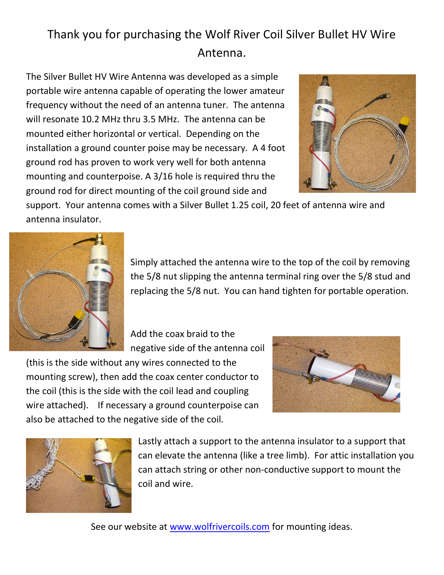## Thank you for purchasing the Wolf River Coil Silver Bullet HV Wire Antenna.

The Silver Bullet HV Wire Antenna was developed as a simple portable wire antenna capable of operating the lower amateur frequency without the need of an antenna tuner. The antenna will resonate 10.2 MHz thru 3.5 MHz. The antenna can be mounted either horizontal or vertical. Depending on the installation a ground counter poise may be necessary. A 4 foot ground rod has proven to work very well for both antenna mounting and counterpoise. A 3/16 hole is required thru the ground rod for direct mounting of the coil ground side and



support. Your antenna comes with a Silver Bullet 1.25 coil, 20 feet of antenna wire and antenna insulator.



Simply attached the antenna wire to the top of the coil by removing the 5/8 nut slipping the antenna terminal ring over the 5/8 stud and replacing the 5/8 nut. You can hand tighten for portable operation.

Add the coax braid to the negative side of the antenna coil

(this is the side without any wires connected to the mounting screw), then add the coax center conductor to the coil (this is the side with the coil lead and coupling wire attached). If necessary a ground counterpoise can also be attached to the negative side of the coil.





Lastly attach a support to the antenna insulator to a support that can elevate the antenna (like a tree limb). For attic installation you can attach string or other non-conductive support to mount the coil and wire.

See our website at www.wolfrivercoils.com for mounting ideas.